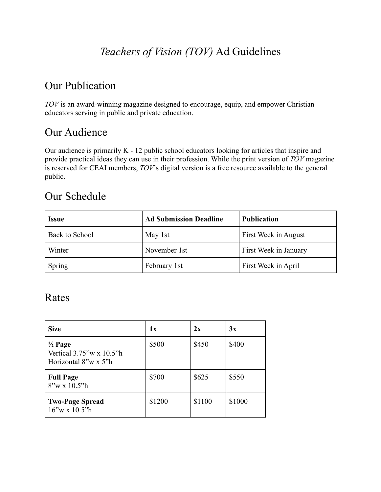# *Teachers of Vision (TOV)* Ad Guidelines

## Our Publication

*TOV* is an award-winning magazine designed to encourage, equip, and empower Christian educators serving in public and private education.

### Our Audience

Our audience is primarily K - 12 public school educators looking for articles that inspire and provide practical ideas they can use in their profession. While the print version of *TOV* magazine is reserved for CEAI members, *TOV*'s digital version is a free resource available to the general public.

### Our Schedule

| <i>Issue</i>          | <b>Ad Submission Deadline</b> | <b>Publication</b>    |  |
|-----------------------|-------------------------------|-----------------------|--|
| <b>Back to School</b> | May 1st                       | First Week in August  |  |
| Winter                | November 1st                  | First Week in January |  |
| Spring                | February 1st                  | First Week in April   |  |

### Rates

| <b>Size</b>                                                                    | 1x     | 2x     | 3x     |
|--------------------------------------------------------------------------------|--------|--------|--------|
| $\frac{1}{2}$ Page<br>Vertical $3.75''$ w x $10.5''$ h<br>Horizontal 8"w x 5"h | \$500  | \$450  | \$400  |
| <b>Full Page</b><br>$8''w \times 10.5''h$                                      | \$700  | \$625  | \$550  |
| <b>Two-Page Spread</b><br>$16''$ w x $10.5''$ h                                | \$1200 | \$1100 | \$1000 |